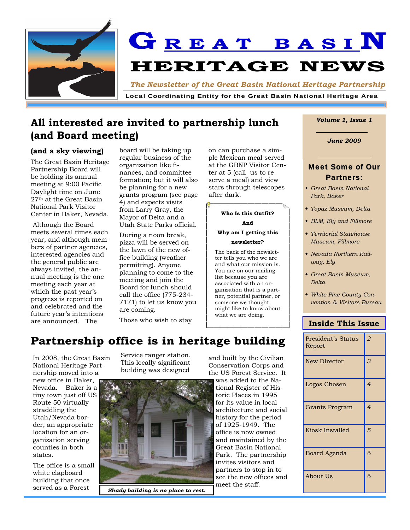

**G R E A T B A S I N HERITAGE NEWS** 

*The Newsletter of the Great Basin National Heritage Partnership* 

Local Coordinating Entity for the Great Basin National Heritage Area

## **All interested are invited to partnership lunch (and Board meeting)**

### **(and a sky viewing)**

The Great Basin Heritage Partnership Board will be holding its annual meeting at 9:00 Pacific Daylight time on June  $27<sup>th</sup>$  at the Great Basin National Park Visitor Center in Baker, Nevada.

 Although the Board meets several times each year, and although members of partner agencies, interested agencies and the general public are always invited, the annual meeting is the one meeting each year at which the past year's progress is reported on and celebrated and the future year's intentions are announced. The

board will be taking up regular business of the organization like finances, and committee formation; but it will also be planning for a new grants program (see page 4) and expects visits from Larry Gray, the Mayor of Delta and a Utah State Parks official.

During a noon break, pizza will be served on the lawn of the new office building (weather permitting). Anyone planning to come to the meeting and join the Board for lunch should call the office (775-234- 7171) to let us know you are coming.

Those who wish to stay

on can purchase a simple Mexican meal served at the GBNP Visitor Center at 5 (call us to reserve a meal) and view stars through telescopes after dark.

## **Who Is this Outfit?**

**And** 

### **Why am I getting this newsletter?**

The back of the newsletter tells you who we are and what our mission is. You are on our mailing list because you are associated with an organization that is a partner, potential partner, or someone we thought might like to know about what we are doing.

### *Volume 1, Issue 1*

*June 2009* 

### **Meet Some of Our** Partners:

- *Great Basin National Park, Baker*
- *Topaz Museum, Delta*
- *BLM, Ely and Fillmore*
- *Territorial Statehouse Museum, Fillmore*
- *Nevada Northern Railway, Ely*
- *Great Basin Museum, Delta*
- *White Pine County Convention & Visitors Bureau*

## **Inside This Issue**

| <b>President's Status</b><br>Report | 2              |
|-------------------------------------|----------------|
| <b>New Director</b>                 | 3              |
| Logos Chosen                        | $\overline{4}$ |
| Grants Program                      | $\overline{4}$ |
| Kiosk Installed                     | 5              |
| Board Agenda                        | 6              |
| About Us                            | 6              |

## Partnership office is in heritage building

In 2008, the Great Basin National Heritage Partnership moved into a new office in Baker, Nevada. Baker is a tiny town just off US

Route 50 virtually straddling the Utah/Nevada border, an appropriate location for an organization serving counties in both states.

The office is a small white clapboard building that once served as a Forest

Service ranger station. This locally significant building was designed



*Shady building is no place to rest.* 

and built by the Civilian Conservation Corps and the US Forest Service. It

was added to the National Register of Historic Places in 1995 for its value in local architecture and social history for the period of 1925-1949. The office is now owned and maintained by the Great Basin National Park. The partnership invites visitors and partners to stop in to see the new offices and meet the staff.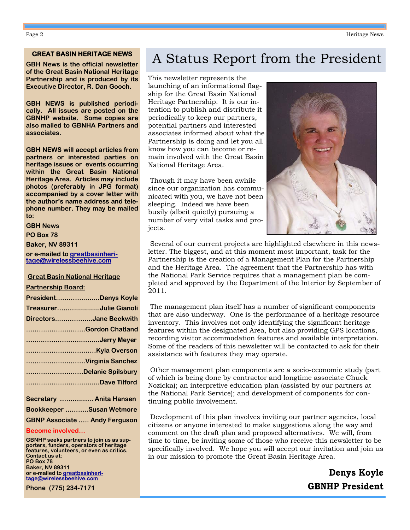### **GREAT BASIN HERITAGE NEWS**

**GBH News is the official newsletter of the Great Basin National Heritage Partnership and is produced by its Executive Director, R. Dan Gooch.** 

**GBH NEWS is published periodically. All issues are posted on the GBNHP website. Some copies are also mailed to GBNHA Partners and associates.** 

**GBH NEWS will accept articles from partners or interested parties on heritage issues or events occurring within the Great Basin National Heritage Area. Articles may include photos (preferably in JPG format) accompanied by a cover letter with the author's name address and telephone number. They may be mailed to:** 

**GBH News** 

**PO Box 78** 

**Baker, NV 89311** 

**or e-mailed to greatbasinheritage@wirelessbeehive.com**

#### **Great Basin National Heritage**

#### **Partnership Board:**

| PresidentDenys Koyle   |
|------------------------|
| TreasurerJulie Gianoli |
| DirectorsJane Beckwith |
| Gordon Chatland        |
|                        |
|                        |
| Virginia Sanchez       |
| Delanie Spilsbury      |
| Dave Tilford           |
|                        |

| Secretary  Anita Hansen              |
|--------------------------------------|
| Bookkeeper Susan Wetmore             |
| <b>GBNP Associate  Andy Ferguson</b> |

### **Become involved…**

**GBNHP seeks partners to join us as supporters, funders, operators of heritage features, volunteers, or even as critics. Contact us at: PO Box 78 Baker, NV 89311 or e-mailed to greatbasinheritage@wirelessbeehive.com**

**Phone (775) 234-7171** 

# A Status Report from the President

This newsletter represents the launching of an informational flagship for the Great Basin National Heritage Partnership. It is our intention to publish and distribute it periodically to keep our partners, potential partners and interested associates informed about what the Partnership is doing and let you all know how you can become or remain involved with the Great Basin National Heritage Area.

 Though it may have been awhile since our organization has communicated with you, we have not been sleeping. Indeed we have been busily (albeit quietly) pursuing a number of very vital tasks and projects.



 Several of our current projects are highlighted elsewhere in this newsletter. The biggest, and at this moment most important, task for the Partnership is the creation of a Management Plan for the Partnership and the Heritage Area. The agreement that the Partnership has with the National Park Service requires that a management plan be completed and approved by the Department of the Interior by September of 2011.

 The management plan itself has a number of significant components that are also underway. One is the performance of a heritage resource inventory. This involves not only identifying the significant heritage features within the designated Area, but also providing GPS locations, recording visitor accommodation features and available interpretation. Some of the readers of this newsletter will be contacted to ask for their assistance with features they may operate.

 Other management plan components are a socio-economic study (part of which is being done by contractor and longtime associate Chuck Nozicka); an interpretive education plan (assisted by our partners at the National Park Service); and development of components for continuing public involvement.

 Development of this plan involves inviting our partner agencies, local citizens or anyone interested to make suggestions along the way and comment on the draft plan and proposed alternatives. We will, from time to time, be inviting some of those who receive this newsletter to be specifically involved. We hope you will accept our invitation and join us in our mission to promote the Great Basin Heritage Area.

> **Denys Koyle GBNHP President**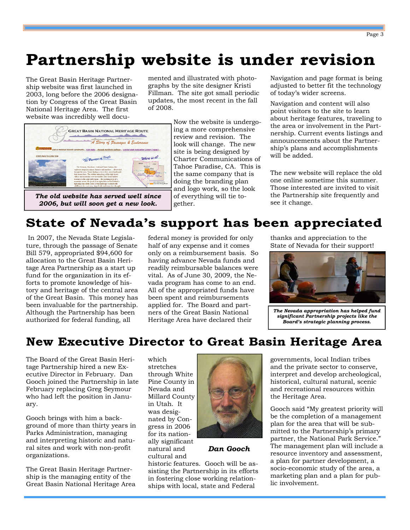# **Partnership website is under revision**

The Great Basin Heritage Partnership website was first launched in 2003, long before the 2006 designation by Congress of the Great Basin National Heritage Area. The first website was incredibly well documented and illustrated with photographs by the site designer Kristi Fillman. The site got small periodic updates, the most recent in the fall of 2008.



*The old website has served well since 2006, but will soon get a new look.* 

Now the website is undergoing a more comprehensive review and revision. The look will change. The new site is being designed by Charter Communications of Tahoe Paradise, CA. This is the same company that is doing the branding plan and logo work, so the look of everything will tie together.

Navigation and page format is being adjusted to better fit the technology of today's wider screens.

Navigation and content will also point visitors to the site to learn about heritage features, traveling to the area or involvement in the Partnership. Current events listings and announcements about the Partnership's plans and accomplishments will be added.

The new website will replace the old one online sometime this summer. Those interested are invited to visit the Partnership site frequently and see it change.

# **State of Nevada's support has been appreciated**

 In 2007, the Nevada State Legislature, through the passage of Senate Bill 579, appropriated \$94,600 for allocation to the Great Basin Heritage Area Partnership as a start up fund for the organization in its efforts to promote knowledge of history and heritage of the central area of the Great Basin. This money has been invaluable for the partnership. Although the Partnership has been authorized for federal funding, all

federal money is provided for only half of any expense and it comes only on a reimbursement basis. So having advance Nevada funds and readily reimbursable balances were vital. As of June 30, 2009, the Nevada program has come to an end. All of the appropriated funds have been spent and reimbursements applied for. The Board and partners of the Great Basin National Heritage Area have declared their

thanks and appreciation to the State of Nevada for their support!



*The Nevada appropriation has helped fund significant Partnership projects like the Board's strategic planning process.* 

## **New Executive Director to Great Basin Heritage Area**

The Board of the Great Basin Heritage Partnership hired a new Executive Director in February. Dan Gooch joined the Partnership in late February replacing Greg Seymour who had left the position in January.

Gooch brings with him a background of more than thirty years in Parks Administration, managing and interpreting historic and natural sites and work with non-profit organizations.

The Great Basin Heritage Partnership is the managing entity of the Great Basin National Heritage Area which stretches through White Pine County in Nevada and Millard County in Utah. It was designated by Congress in 2006 for its nationally significant natural and cultural and

historic features. Gooch will be assisting the Partnership in its efforts in fostering close working relationships with local, state and Federal



*Dan Gooch* 

governments, local Indian tribes and the private sector to conserve, interpret and develop archeological, historical, cultural natural, scenic and recreational resources within the Heritage Area.

Gooch said "My greatest priority will be the completion of a management plan for the area that will be submitted to the Partnership's primary partner, the National Park Service." The management plan will include a resource inventory and assessment, a plan for partner development, a socio-economic study of the area, a marketing plan and a plan for public involvement.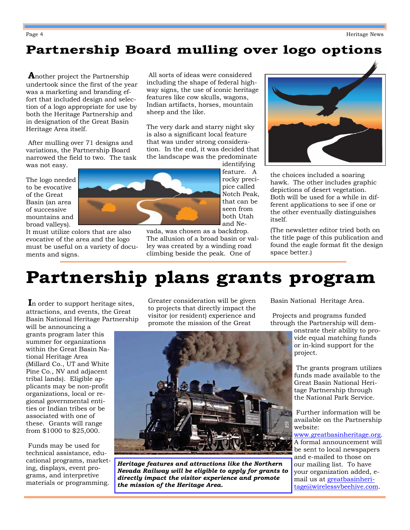# **Partnership Board mulling over logo options**

**A**nother project the Partnership undertook since the first of the year was a marketing and branding effort that included design and selection of a logo appropriate for use by both the Heritage Partnership and in designation of the Great Basin Heritage Area itself.

 After mulling over 71 designs and variations, the Partnership Board narrowed the field to two. The task was not easy.

The logo needed to be evocative of the Great Basin (an area of successive mountains and broad valleys).

It must utilize colors that are also evocative of the area and the logo must be useful on a variety of documents and signs.

 All sorts of ideas were considered including the shape of federal highway signs, the use of iconic heritage features like cow skulls, wagons, Indian artifacts, horses, mountain sheep and the like.

The very dark and starry night sky is also a significant local feature that was under strong consideration. In the end, it was decided that the landscape was the predominate identifying



that can be seen from both Utah and Nevada, was chosen as a backdrop.

The allusion of a broad basin or valley was created by a winding road climbing beside the peak. One of



the choices included a soaring hawk. The other includes graphic depictions of desert vegetation. Both will be used for a while in different applications to see if one or the other eventually distinguishes itself.

(The newsletter editor tried both on the title page of this publication and found the eagle format fit the design space better.)

# **Partnership plans grants program**

**I**n order to support heritage sites, attractions, and events, the Great Basin National Heritage Partnership

will be announcing a grants program later this summer for organizations within the Great Basin National Heritage Area (Millard Co., UT and White Pine Co., NV and adjacent tribal lands). Eligible applicants may be non-profit organizations, local or regional governmental entities or Indian tribes or be associated with one of these. Grants will range from \$1000 to \$25,000.

 Funds may be used for technical assistance, educational programs, marketing, displays, event programs, and interpretive materials or programming.

Greater consideration will be given to projects that directly impact the visitor (or resident) experience and promote the mission of the Great



*Heritage features and attractions like the Northern Nevada Railway will be eligible to apply for grants to directly impact the visitor experience and promote the mission of the Heritage Area.* 

Basin National Heritage Area.

 Projects and programs funded through the Partnership will dem-

onstrate their ability to provide equal matching funds or in-kind support for the project.

 The grants program utilizes funds made available to the Great Basin National Heritage Partnership through the National Park Service.

 Further information will be available on the Partnership website:

www.greatbasinheritage.org. A formal announcement will be sent to local newspapers and e-mailed to those on our mailing list. To have your organization added, email us at greatbasinheritage@wirelessvbeehive.com.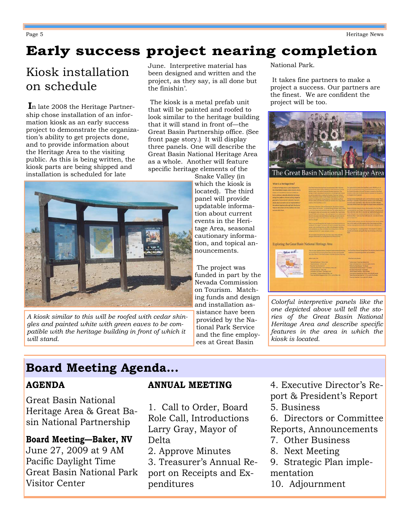# **Early success project nearing completion**

# Kiosk installation on schedule

**I**n late 2008 the Heritage Partnership chose installation of an information kiosk as an early success project to demonstrate the organization's ability to get projects done, and to provide information about the Heritage Area to the visiting public. As this is being written, the kiosk parts are being shipped and installation is scheduled for late

June. Interpretive material has been designed and written and the project, as they say, is all done but the finishin'.

 The kiosk is a metal prefab unit that will be painted and roofed to look similar to the heritage building that it will stand in front of—the Great Basin Partnership office. (See front page story.) It will display three panels. One will describe the Great Basin National Heritage Area as a whole. Another will feature specific heritage elements of the



*A kiosk similar to this will be roofed with cedar shingles and painted white with green eaves to be compatible with the heritage building in front of which it will stand.* 

Snake Valley (in which the kiosk is located). The third panel will provide updatable information about current events in the Heritage Area, seasonal cautionary information, and topical announcements.

 The project was funded in part by the Nevada Commission on Tourism. Matching funds and design and installation assistance have been provided by the National Park Service and the fine employees at Great Basin

National Park.

 It takes fine partners to make a project a success. Our partners are the finest. We are confident the project will be too.



| the forest attack incident even a close in change<br>National and Edmontonial Interval Nickels Collabora for<br>Roma Liberios, naturalis dometral brokours<br>wing from judgmi of human achies showit for | What Copy this ad full already desired farmings To-<br>Notice of National Andrew American EU area a pollum forest<br>an and by seconds interest could by the fourteen, State and Science<br>Diese percential of hotel Center Engine and Schulz activity of view                                                                                                                                                                                                                                                                               | For Finnan's Mountains in the pair. The topper is mained the Cover Sum-<br>being air year. Journal dans a treat 3 to greate the factors do<br>to deacrease the for plants.                                                                                                                                                                                                     |
|-----------------------------------------------------------------------------------------------------------------------------------------------------------------------------------------------------------|-----------------------------------------------------------------------------------------------------------------------------------------------------------------------------------------------------------------------------------------------------------------------------------------------------------------------------------------------------------------------------------------------------------------------------------------------------------------------------------------------------------------------------------------------|--------------------------------------------------------------------------------------------------------------------------------------------------------------------------------------------------------------------------------------------------------------------------------------------------------------------------------------------------------------------------------|
| arrangely There are a tell collectedly mass fact.<br>storms adjust our surface and also representative of<br>the telling weekens through bolt the photos                                                  | assumes the rated grand entities and entities as in the deliberty as fluence<br>for some within and chee sure phones are a finited in the to be collected<br>mailing of the Coast Book, as well                                                                                                                                                                                                                                                                                                                                               | lanceps at home another the next is another threshold among Them<br>and Darier' increasing themselves by transmiss in the work meeting.<br>presente coupo maternal for raling that were may likely will have<br>Gett and thousand thread in the target hard wheled between artistices have                                                                                     |
| features that remain and the traditions that have<br>pointed within Stark                                                                                                                                 | Fas Pressure, Museum Linds and Planet stations, Harvards area, Imageans<br>ment, beneficial controls, of beach frough blocks. Apro finites<br>prop to the input and make that former law. The subject attacks and<br>In hit, boot sales and montain services of the fact infor-<br>instern is his statued segm - the auting given of a prestigations.<br>the active of an electron take medical definements from mings. And means access of<br>for state and control with excellence in a well with an expert of<br><b>Monthly of Monters</b> | Needs of develop the grade for the fire manager of his Cour Bank.<br>at increasing to an it don't. Threated a charge is unusuan as a<br>Sus a rile from calles flate in meaning any. Eaglerals and generously<br>in the halling give may interpret and pieces transic in the factbolic.<br>former to him contempts that LID crew ald a painter of boths<br>position but looks. |
|                                                                                                                                                                                                           | Forms we look done friendall illustrated. Imagine compare to moving and look on<br>boomback or in a length. This intend the closical comment uses and me-<br>awthen within streeting failure you. Siled with a refers and members:                                                                                                                                                                                                                                                                                                            | Process as holes previous processes and office insurance from a connect Laboration<br>has hold chains and dise togrants both Sans please and land-<br>commer into a good are such alleg met a framer the Corbinal Trust                                                                                                                                                        |
|                                                                                                                                                                                                           | In the remember area should of twittling tool showing stands on the issue.                                                                                                                                                                                                                                                                                                                                                                                                                                                                    | All living here is a listing house of entranced to check per                                                                                                                                                                                                                                                                                                                   |
|                                                                                                                                                                                                           | perceptuate interest of all to state and passes on it time.                                                                                                                                                                                                                                                                                                                                                                                                                                                                                   | health is providenced, and experies that two the bestings of the United                                                                                                                                                                                                                                                                                                        |
| Exploring the Great Basin National Heritage Area                                                                                                                                                          | Octobris paper through April and Inter Automotive study for<br>passage of flow helive the and the anderson of those of 6 hele.                                                                                                                                                                                                                                                                                                                                                                                                                | <b>Board</b>                                                                                                                                                                                                                                                                                                                                                                   |
| Where is all                                                                                                                                                                                              | Then are over Agridinant Astronic, distinguishing and income making a long-<br>to Local Baine Services Services Services are more away accounts.<br>Automatical Research and the transfer or interesting standard state along                                                                                                                                                                                                                                                                                                                 | April may or measure up artistly we a meeting                                                                                                                                                                                                                                                                                                                                  |
|                                                                                                                                                                                                           | <b>Which Loudy Lives</b>                                                                                                                                                                                                                                                                                                                                                                                                                                                                                                                      | to One has harved to may have. The section a local actions.<br><b>STOLET ATTACHED BANKS</b>                                                                                                                                                                                                                                                                                    |

*Colorful interpretive panels like the one depicted above will tell the stories of the Great Basin National Heritage Area and describe specific features in the area in which the kiosk is located.* 

# **Board Meeting Agenda...**

## **AGENDA**

Great Basin National Heritage Area & Great Basin National Partnership

## **Board Meeting—Baker, NV**  June 27, 2009 at 9 AM

Pacific Daylight Time Great Basin National Park Visitor Center

### **ANNUAL MEETING**

1. Call to Order, Board Role Call, Introductions Larry Gray, Mayor of Delta

2. Approve Minutes

3. Treasurer's Annual Report on Receipts and Expenditures

4. Executive Director's Report & President's Report 5. Business

6. Directors or Committee

- Reports, Announcements
- 7. Other Business
- 8. Next Meeting
- 9. Strategic Plan implementation
- 10. Adjournment